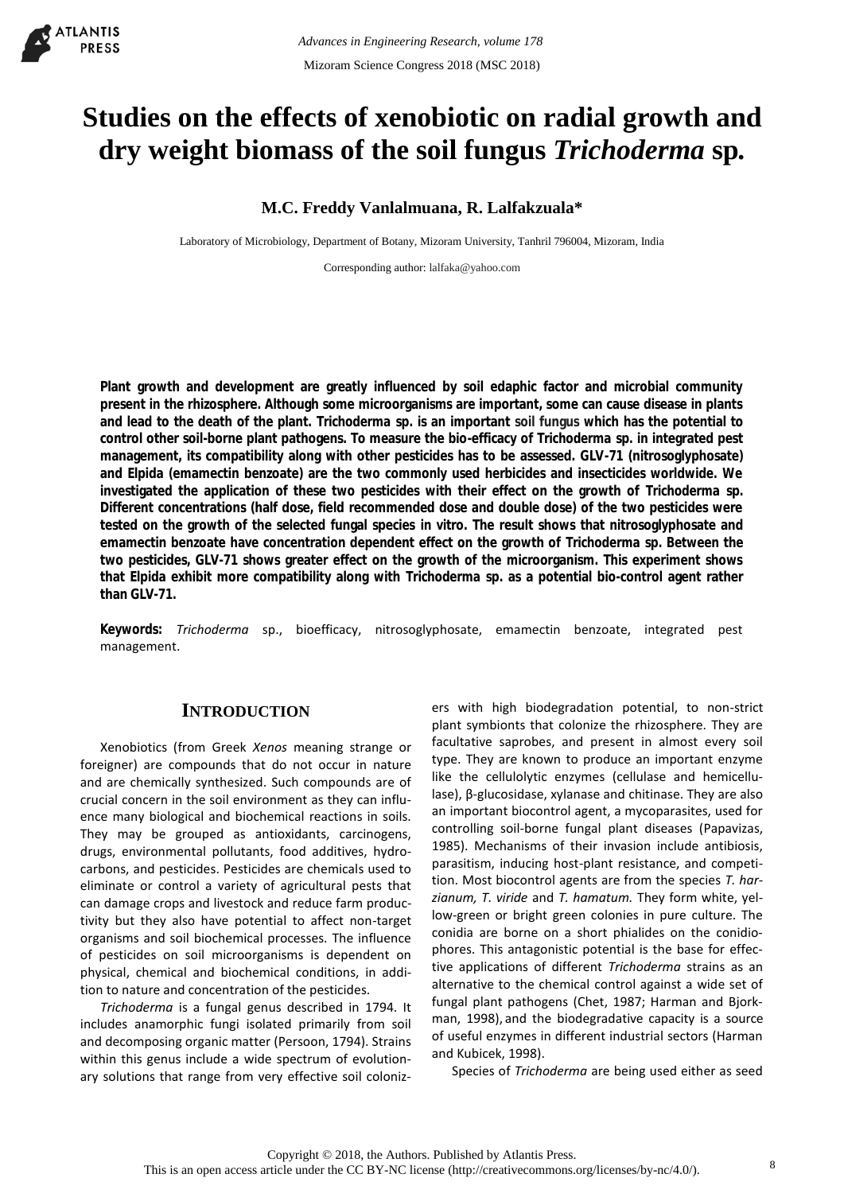# **Studies on the effects of xenobiotic on radial growth and dry weight biomass of the soil fungus** *Trichoderma* **sp***.*

# **M.C. Freddy Vanlalmuana, R. Lalfakzuala\***

Laboratory of Microbiology, Department of Botany, Mizoram University, Tanhril 796004, Mizoram, India

Corresponding author: [lalfaka@yahoo.com](mailto:lalfaka@yahoo.com)

**Plant growth and development are greatly influenced by soil edaphic factor and microbial community present in the rhizosphere. Although some microorganisms are important, some can cause disease in plants and lead to the death of the plant.** *Trichoderma* **sp***.* **is an important soil fungus which has the potential to control other soil-borne plant pathogens. To measure the bio-efficacy of** *Trichoderma* **sp***.* **in integrated pest management, its compatibility along with other pesticides has to be assessed. GLV-71 (nitrosoglyphosate) and Elpida (emamectin benzoate) are the two commonly used herbicides and insecticides worldwide. We investigated the application of these two pesticides with their effect on the growth of** *Trichoderma* **sp. Different concentrations (half dose, field recommended dose and double dose) of the two pesticides were tested on the growth of the selected fungal species** *in vitro***. The result shows that nitrosoglyphosate and emamectin benzoate have concentration dependent effect on the growth of** *Trichoderma* **sp***.* **Between the two pesticides, GLV-71 shows greater effect on the growth of the microorganism. This experiment shows that Elpida exhibit more compatibility along with** *Trichoderma* **sp. as a potential bio-control agent rather than GLV-71.**

**Keywords:** *Trichoderma* sp., bioefficacy, nitrosoglyphosate, emamectin benzoate, integrated pest management.

# **INTRODUCTION**

Xenobiotics (from Greek *Xenos* meaning strange or foreigner) are compounds that do not occur in nature and are chemically synthesized. Such compounds are of crucial concern in the soil environment as they can influence many biological and biochemical reactions in soils. They may be grouped as antioxidants, carcinogens, drugs, environmental pollutants, food additives, hydrocarbons, and pesticides. Pesticides are chemicals used to eliminate or control a variety of agricultural pests that can damage crops and livestock and reduce farm productivity but they also have potential to affect non-target organisms and soil biochemical processes. The influence of pesticides on soil microorganisms is dependent on physical, chemical and biochemical conditions, in addition to nature and concentration of the pesticides.

*Trichoderma* is a fungal genus described in 1794. It includes anamorphic fungi isolated primarily from soil and decomposing organic matter (Persoon, 1794). Strains within this genus include a wide spectrum of evolutionary solutions that range from very effective soil coloniz-

ers with high biodegradation potential, to non-strict plant symbionts that colonize the rhizosphere. They are facultative saprobes, and present in almost every soil type. They are known to produce an important enzyme like the cellulolytic enzymes (cellulase and hemicellulase), β-glucosidase, xylanase and chitinase. They are also an important biocontrol agent, a mycoparasites, used for controlling soil-borne fungal plant diseases (Papavizas, 1985). Mechanisms of their invasion include antibiosis, parasitism, inducing host-plant resistance, and competition. Most biocontrol agents are from the species *T. harzianum, T. viride* and *T. hamatum.* They form white, yellow-green or bright green colonies in pure culture. The conidia are borne on a short phialides on the conidiophores. This antagonistic potential is the base for effective applications of different *Trichoderma* strains as an alternative to the chemical control against a wide set of fungal plant pathogens (Chet, 1987; Harman and Bjorkman, 1998), and the biodegradative capacity is a source of useful enzymes in different industrial sectors (Harman and Kubicek, 1998).

Species of *Trichoderma* are being used either as seed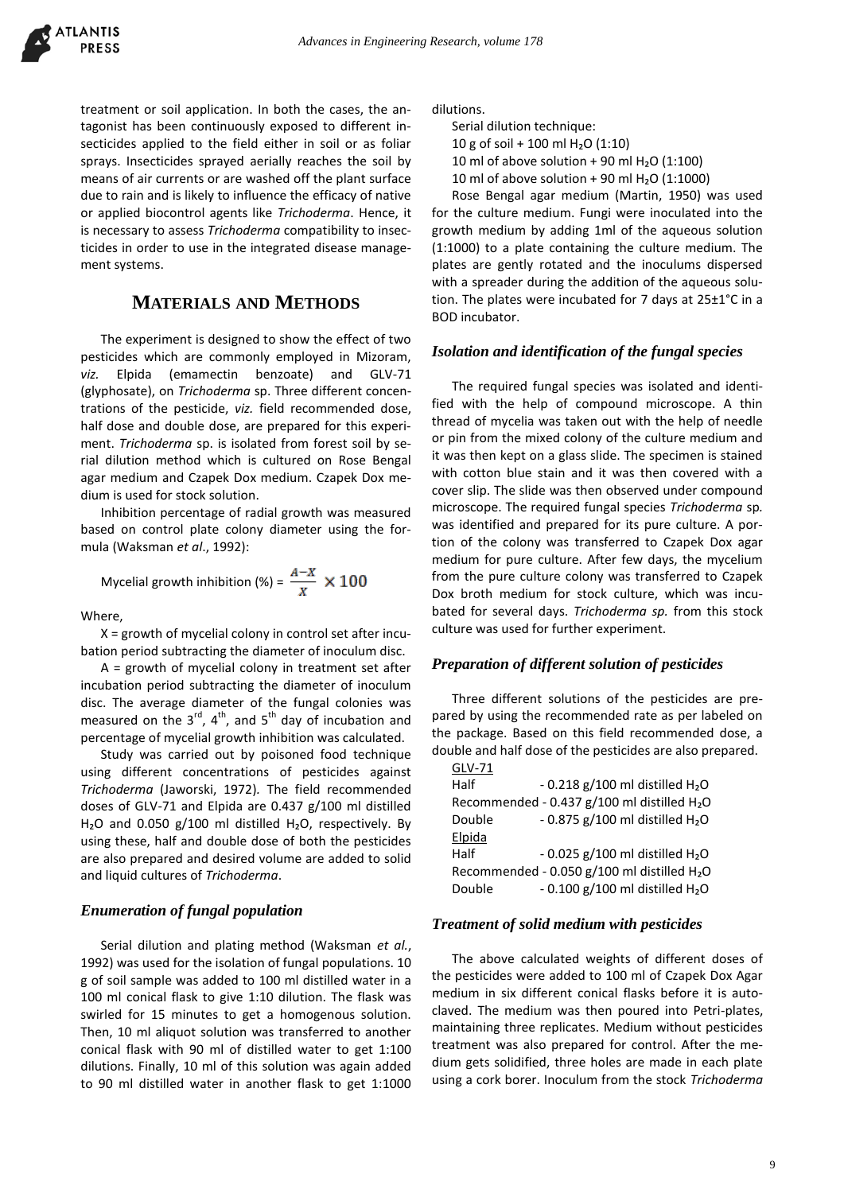

treatment or soil application. In both the cases, the antagonist has been continuously exposed to different insecticides applied to the field either in soil or as foliar sprays. Insecticides sprayed aerially reaches the soil by means of air currents or are washed off the plant surface due to rain and is likely to influence the efficacy of native or applied biocontrol agents like *Trichoderma*. Hence, it is necessary to assess *Trichoderma* compatibility to insecticides in order to use in the integrated disease management systems.

# **MATERIALS AND METHODS**

The experiment is designed to show the effect of two pesticides which are commonly employed in Mizoram, *viz.* Elpida (emamectin benzoate) and GLV-71 (glyphosate), on *Trichoderma* sp. Three different concentrations of the pesticide, *viz.* field recommended dose, half dose and double dose, are prepared for this experiment. *Trichoderma* sp. is isolated from forest soil by serial dilution method which is cultured on Rose Bengal agar medium and Czapek Dox medium. Czapek Dox medium is used for stock solution.

Inhibition percentage of radial growth was measured based on control plate colony diameter using the formula (Waksman *et al*., 1992):

Mycelial growth inhibition (%) =  $\frac{A-X}{Y} \times 100$ 

Where,

X = growth of mycelial colony in control set after incubation period subtracting the diameter of inoculum disc.

 $A =$  growth of mycelial colony in treatment set after incubation period subtracting the diameter of inoculum disc. The average diameter of the fungal colonies was measured on the  $3^{rd}$ ,  $4^{th}$ , and  $5^{th}$  day of incubation and percentage of mycelial growth inhibition was calculated.

Study was carried out by poisoned food technique using different concentrations of pesticides against *Trichoderma* (Jaworski, 1972)*.* The field recommended doses of GLV-71 and Elpida are 0.437 g/100 ml distilled  $H<sub>2</sub>O$  and 0.050 g/100 ml distilled  $H<sub>2</sub>O$ , respectively. By using these, half and double dose of both the pesticides are also prepared and desired volume are added to solid and liquid cultures of *Trichoderma*.

#### *Enumeration of fungal population*

Serial dilution and plating method (Waksman *et al.*, 1992) was used for the isolation of fungal populations. 10 g of soil sample was added to 100 ml distilled water in a 100 ml conical flask to give 1:10 dilution. The flask was swirled for 15 minutes to get a homogenous solution. Then, 10 ml aliquot solution was transferred to another conical flask with 90 ml of distilled water to get 1:100 dilutions. Finally, 10 ml of this solution was again added to 90 ml distilled water in another flask to get 1:1000 dilutions.

Serial dilution technique: 10 g of soil + 100 ml  $H<sub>2</sub>O$  (1:10) 10 ml of above solution + 90 ml  $H<sub>2</sub>O$  (1:100)

10 ml of above solution + 90 ml  $H<sub>2</sub>O$  (1:1000)

Rose Bengal agar medium (Martin, 1950) was used for the culture medium. Fungi were inoculated into the growth medium by adding 1ml of the aqueous solution (1:1000) to a plate containing the culture medium. The plates are gently rotated and the inoculums dispersed with a spreader during the addition of the aqueous solution. The plates were incubated for 7 days at 25±1°C in a BOD incubator.

#### *Isolation and identification of the fungal species*

The required fungal species was isolated and identified with the help of compound microscope. A thin thread of mycelia was taken out with the help of needle or pin from the mixed colony of the culture medium and it was then kept on a glass slide. The specimen is stained with cotton blue stain and it was then covered with a cover slip. The slide was then observed under compound microscope. The required fungal species *Trichoderma* sp*.*  was identified and prepared for its pure culture. A portion of the colony was transferred to Czapek Dox agar medium for pure culture. After few days, the mycelium from the pure culture colony was transferred to Czapek Dox broth medium for stock culture, which was incubated for several days. *Trichoderma sp.* from this stock culture was used for further experiment.

#### *Preparation of different solution of pesticides*

Three different solutions of the pesticides are prepared by using the recommended rate as per labeled on the package. Based on this field recommended dose, a double and half dose of the pesticides are also prepared.

| GLV-71                                                  |                                              |
|---------------------------------------------------------|----------------------------------------------|
| Half                                                    | $-0.218$ g/100 ml distilled H <sub>2</sub> O |
| Recommended - 0.437 g/100 ml distilled H <sub>2</sub> O |                                              |
| Double                                                  | $-0.875$ g/100 ml distilled H <sub>2</sub> O |
| Elpida                                                  |                                              |
| Half                                                    | $-0.025$ g/100 ml distilled H <sub>2</sub> O |
| Recommended - 0.050 $g/100$ ml distilled $H2O$          |                                              |
| Double                                                  | $-0.100$ g/100 ml distilled H <sub>2</sub> O |

#### *Treatment of solid medium with pesticides*

The above calculated weights of different doses of the pesticides were added to 100 ml of Czapek Dox Agar medium in six different conical flasks before it is autoclaved. The medium was then poured into Petri-plates, maintaining three replicates. Medium without pesticides treatment was also prepared for control. After the medium gets solidified, three holes are made in each plate using a cork borer. Inoculum from the stock *Trichoderma*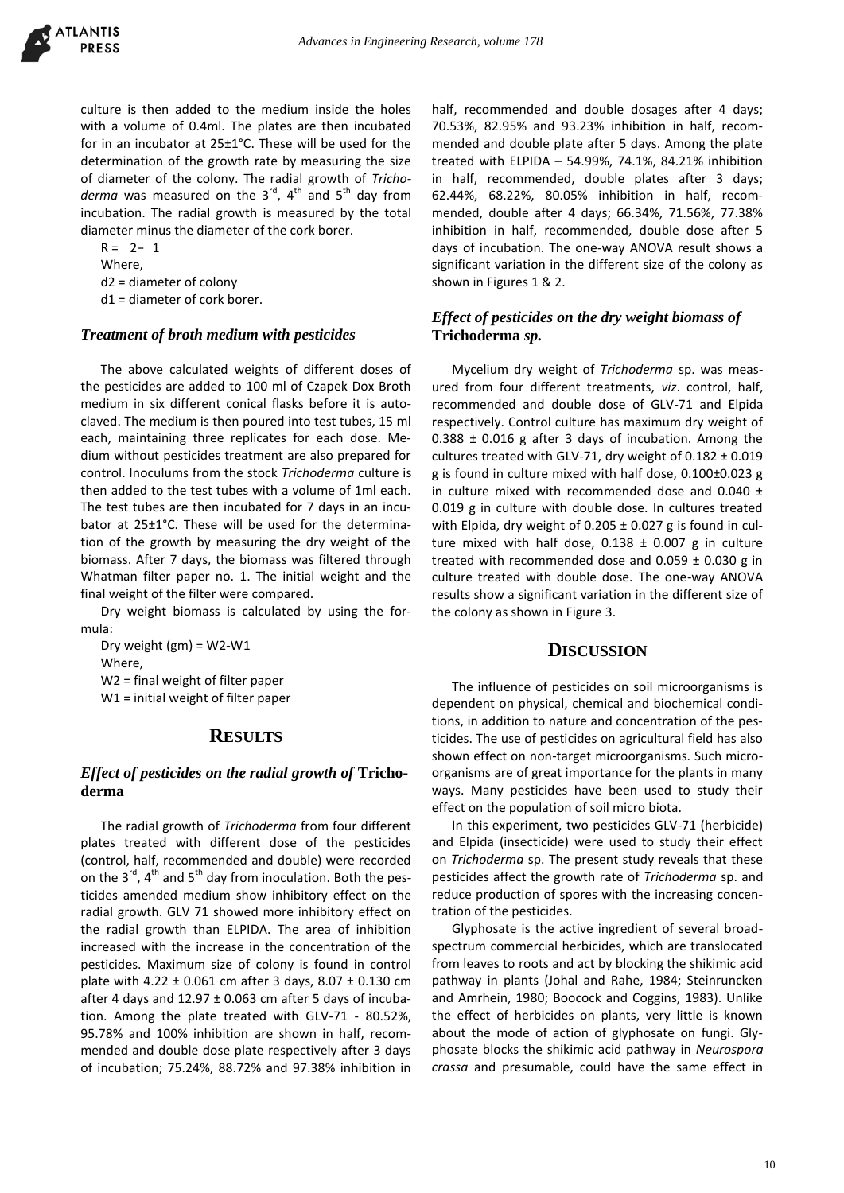

culture is then added to the medium inside the holes with a volume of 0.4ml. The plates are then incubated for in an incubator at 25±1°C. These will be used for the determination of the growth rate by measuring the size of diameter of the colony. The radial growth of *Tricho*derma was measured on the 3<sup>rd</sup>, 4<sup>th</sup> and 5<sup>th</sup> day from incubation. The radial growth is measured by the total diameter minus the diameter of the cork borer.

R = 2− 1 Where, d2 = diameter of colony d1 = diameter of cork borer.

#### *Treatment of broth medium with pesticides*

The above calculated weights of different doses of the pesticides are added to 100 ml of Czapek Dox Broth medium in six different conical flasks before it is autoclaved. The medium is then poured into test tubes, 15 ml each, maintaining three replicates for each dose. Medium without pesticides treatment are also prepared for control. Inoculums from the stock *Trichoderma* culture is then added to the test tubes with a volume of 1ml each. The test tubes are then incubated for 7 days in an incubator at 25±1°C. These will be used for the determination of the growth by measuring the dry weight of the biomass. After 7 days, the biomass was filtered through Whatman filter paper no. 1. The initial weight and the final weight of the filter were compared.

Dry weight biomass is calculated by using the formula:

Dry weight  $(gm) = W2-W1$ Where, W2 = final weight of filter paper W1 = initial weight of filter paper

## **RESULTS**

### *Effect of pesticides on the radial growth of* **Trichoderma**

The radial growth of *Trichoderma* from four different plates treated with different dose of the pesticides (control, half, recommended and double) were recorded on the  $3^{rd}$ ,  $4^{th}$  and  $5^{th}$  day from inoculation. Both the pesticides amended medium show inhibitory effect on the radial growth. GLV 71 showed more inhibitory effect on the radial growth than ELPIDA. The area of inhibition increased with the increase in the concentration of the pesticides. Maximum size of colony is found in control plate with 4.22  $\pm$  0.061 cm after 3 days, 8.07  $\pm$  0.130 cm after 4 days and  $12.97 \pm 0.063$  cm after 5 days of incubation. Among the plate treated with GLV-71 - 80.52%, 95.78% and 100% inhibition are shown in half, recommended and double dose plate respectively after 3 days of incubation; 75.24%, 88.72% and 97.38% inhibition in half, recommended and double dosages after 4 days; 70.53%, 82.95% and 93.23% inhibition in half, recommended and double plate after 5 days. Among the plate treated with ELPIDA – 54.99%, 74.1%, 84.21% inhibition in half, recommended, double plates after 3 days; 62.44%, 68.22%, 80.05% inhibition in half, recommended, double after 4 days; 66.34%, 71.56%, 77.38% inhibition in half, recommended, double dose after 5 days of incubation. The one-way ANOVA result shows a significant variation in the different size of the colony as shown in Figures 1 & 2.

## *Effect of pesticides on the dry weight biomass of*  **Trichoderma** *sp.*

Mycelium dry weight of *Trichoderma* sp. was measured from four different treatments, *viz*. control, half, recommended and double dose of GLV-71 and Elpida respectively. Control culture has maximum dry weight of 0.388 ± 0.016 g after 3 days of incubation. Among the cultures treated with GLV-71, dry weight of  $0.182 \pm 0.019$ g is found in culture mixed with half dose, 0.100±0.023 g in culture mixed with recommended dose and 0.040 ± 0.019 g in culture with double dose. In cultures treated with Elpida, dry weight of  $0.205 \pm 0.027$  g is found in culture mixed with half dose,  $0.138 \pm 0.007$  g in culture treated with recommended dose and  $0.059 \pm 0.030$  g in culture treated with double dose. The one-way ANOVA results show a significant variation in the different size of the colony as shown in Figure 3.

## **DISCUSSION**

The influence of pesticides on soil microorganisms is dependent on physical, chemical and biochemical conditions, in addition to nature and concentration of the pesticides. The use of pesticides on agricultural field has also shown effect on non-target microorganisms. Such microorganisms are of great importance for the plants in many ways. Many pesticides have been used to study their effect on the population of soil micro biota.

In this experiment, two pesticides GLV-71 (herbicide) and Elpida (insecticide) were used to study their effect on *Trichoderma* sp. The present study reveals that these pesticides affect the growth rate of *Trichoderma* sp. and reduce production of spores with the increasing concentration of the pesticides.

Glyphosate is the active ingredient of several broadspectrum commercial herbicides, which are translocated from leaves to roots and act by blocking the shikimic acid pathway in plants (Johal and Rahe, 1984; Steinruncken and Amrhein, 1980; Boocock and Coggins, 1983). Unlike the effect of herbicides on plants, very little is known about the mode of action of glyphosate on fungi. Glyphosate blocks the shikimic acid pathway in *Neurospora crassa* and presumable, could have the same effect in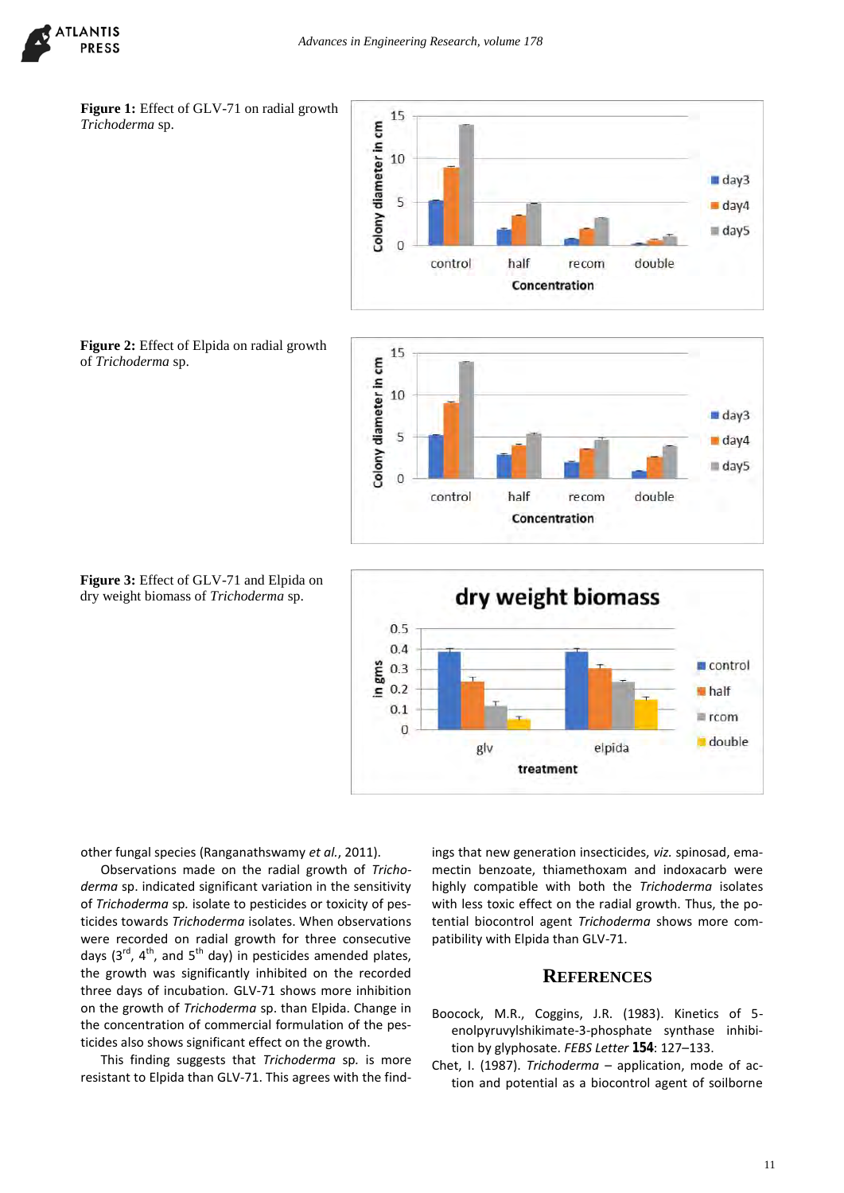





**Figure 2:** Effect of Elpida on radial growth of *Trichoderma* sp.







other fungal species (Ranganathswamy *et al.*, 2011).

Observations made on the radial growth of *Trichoderma* sp. indicated significant variation in the sensitivity of *Trichoderma* sp*.* isolate to pesticides or toxicity of pesticides towards *Trichoderma* isolates. When observations were recorded on radial growth for three consecutive days  $(3^{rd}, 4^{th},$  and  $5^{th}$  day) in pesticides amended plates, the growth was significantly inhibited on the recorded three days of incubation*.* GLV-71 shows more inhibition on the growth of *Trichoderma* sp. than Elpida. Change in the concentration of commercial formulation of the pesticides also shows significant effect on the growth.

This finding suggests that *Trichoderma* sp*.* is more resistant to Elpida than GLV-71. This agrees with the findings that new generation insecticides, *viz.* spinosad, emamectin benzoate, thiamethoxam and indoxacarb were highly compatible with both the *Trichoderma* isolates with less toxic effect on the radial growth. Thus, the potential biocontrol agent *Trichoderma* shows more compatibility with Elpida than GLV-71.

## **REFERENCES**

- Boocock, M.R., Coggins, J.R. (1983). Kinetics of 5 enolpyruvylshikimate-3-phosphate synthase inhibition by glyphosate. *FEBS Letter* **154**: 127–133.
- Chet, I. (1987). *Trichoderma*  application, mode of action and potential as a biocontrol agent of soilborne